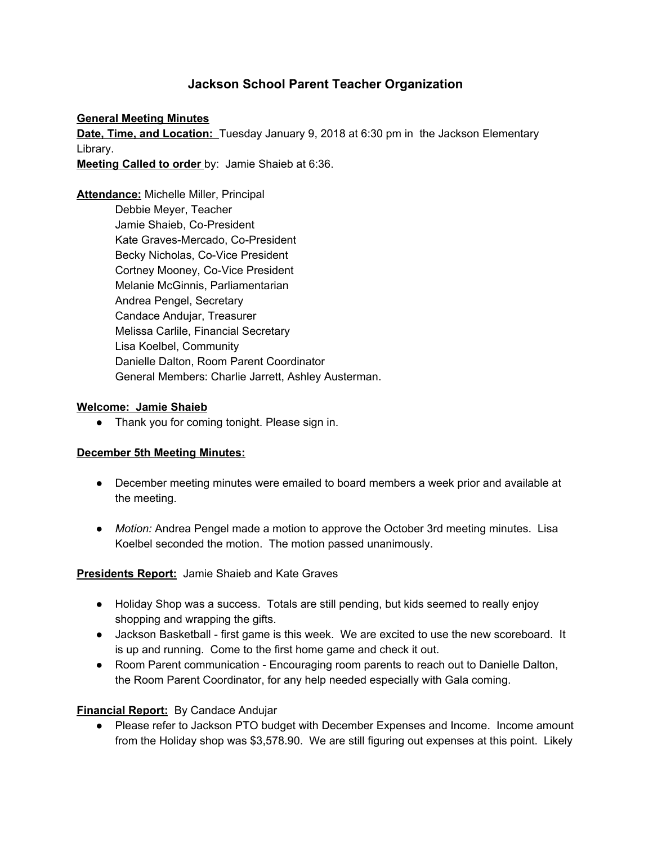# **Jackson School Parent Teacher Organization**

#### **General Meeting Minutes**

**Date, Time, and Location:** Tuesday January 9, 2018 at 6:30 pm in the Jackson Elementary Library.

**Meeting Called to order** by: Jamie Shaieb at 6:36.

**Attendance:** Michelle Miller, Principal Debbie Meyer, Teacher Jamie Shaieb, Co-President Kate Graves-Mercado, Co-President Becky Nicholas, Co-Vice President Cortney Mooney, Co-Vice President Melanie McGinnis, Parliamentarian Andrea Pengel, Secretary Candace Andujar, Treasurer Melissa Carlile, Financial Secretary Lisa Koelbel, Community Danielle Dalton, Room Parent Coordinator General Members: Charlie Jarrett, Ashley Austerman.

#### **Welcome: Jamie Shaieb**

● Thank you for coming tonight. Please sign in.

#### **December 5th Meeting Minutes:**

- December meeting minutes were emailed to board members a week prior and available at the meeting.
- *Motion:* Andrea Pengel made a motion to approve the October 3rd meeting minutes. Lisa Koelbel seconded the motion. The motion passed unanimously.

### **Presidents Report:** Jamie Shaieb and Kate Graves

- Holiday Shop was a success. Totals are still pending, but kids seemed to really enjoy shopping and wrapping the gifts.
- Jackson Basketball first game is this week. We are excited to use the new scoreboard. It is up and running. Come to the first home game and check it out.
- Room Parent communication Encouraging room parents to reach out to Danielle Dalton, the Room Parent Coordinator, for any help needed especially with Gala coming.

### **Financial Report:** By Candace Andujar

● Please refer to Jackson PTO budget with December Expenses and Income. Income amount from the Holiday shop was \$3,578.90. We are still figuring out expenses at this point. Likely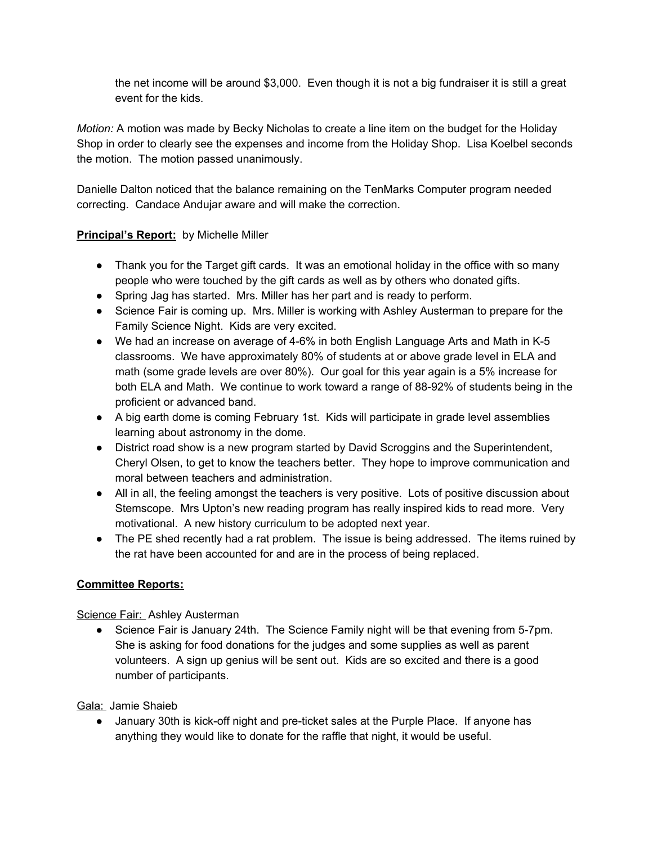the net income will be around \$3,000. Even though it is not a big fundraiser it is still a great event for the kids.

*Motion:* A motion was made by Becky Nicholas to create a line item on the budget for the Holiday Shop in order to clearly see the expenses and income from the Holiday Shop. Lisa Koelbel seconds the motion. The motion passed unanimously.

Danielle Dalton noticed that the balance remaining on the TenMarks Computer program needed correcting. Candace Andujar aware and will make the correction.

## **Principal's Report:** by Michelle Miller

- Thank you for the Target gift cards. It was an emotional holiday in the office with so many people who were touched by the gift cards as well as by others who donated gifts.
- Spring Jag has started. Mrs. Miller has her part and is ready to perform.
- Science Fair is coming up. Mrs. Miller is working with Ashley Austerman to prepare for the Family Science Night. Kids are very excited.
- We had an increase on average of 4-6% in both English Language Arts and Math in K-5 classrooms. We have approximately 80% of students at or above grade level in ELA and math (some grade levels are over 80%). Our goal for this year again is a 5% increase for both ELA and Math. We continue to work toward a range of 88-92% of students being in the proficient or advanced band.
- A big earth dome is coming February 1st. Kids will participate in grade level assemblies learning about astronomy in the dome.
- District road show is a new program started by David Scroggins and the Superintendent, Cheryl Olsen, to get to know the teachers better. They hope to improve communication and moral between teachers and administration.
- All in all, the feeling amongst the teachers is very positive. Lots of positive discussion about Stemscope. Mrs Upton's new reading program has really inspired kids to read more. Very motivational. A new history curriculum to be adopted next year.
- The PE shed recently had a rat problem. The issue is being addressed. The items ruined by the rat have been accounted for and are in the process of being replaced.

### **Committee Reports:**

Science Fair: Ashley Austerman

● Science Fair is January 24th. The Science Family night will be that evening from 5-7pm. She is asking for food donations for the judges and some supplies as well as parent volunteers. A sign up genius will be sent out. Kids are so excited and there is a good number of participants.

Gala: Jamie Shaieb

● January 30th is kick-off night and pre-ticket sales at the Purple Place. If anyone has anything they would like to donate for the raffle that night, it would be useful.